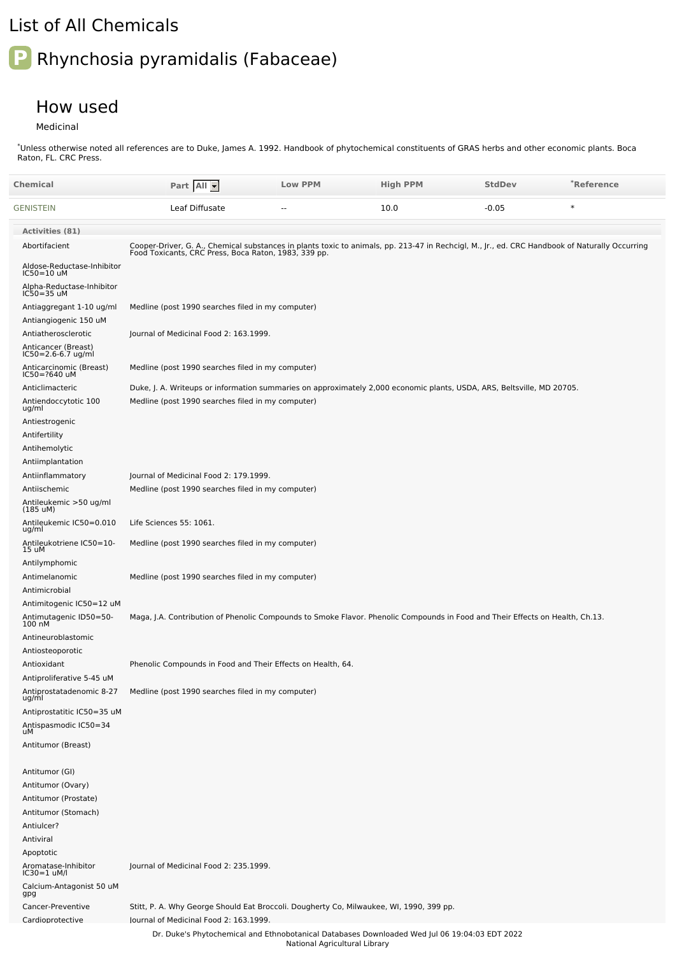## List of All Chemicals

## **P** Rhynchosia pyramidalis (Fabaceae)

## How used

Medicinal

Unless otherwise noted all references are to Duke, James A. 1992. Handbook of phytochemical constituents of GRAS herbs and other economic plants. Boca Raton, FL. CRC Press. \*

| Chemical                                          | Part All                                                                                                                                                                                               | <b>Low PPM</b>                | <b>High PPM</b> | <b>StdDev</b> | *Reference |
|---------------------------------------------------|--------------------------------------------------------------------------------------------------------------------------------------------------------------------------------------------------------|-------------------------------|-----------------|---------------|------------|
| GENISTEIN                                         | Leaf Diffusate                                                                                                                                                                                         |                               | 10.0            | $-0.05$       | $\ast$     |
| <b>Activities (81)</b>                            |                                                                                                                                                                                                        |                               |                 |               |            |
| Abortifacient                                     | Cooper-Driver, G. A., Chemical substances in plants toxic to animals, pp. 213-47 in Rechcigl, M., Jr., ed. CRC Handbook of Naturally Occurring<br>Food Toxicants, CRC Press, Boca Raton, 1983, 339 pp. |                               |                 |               |            |
| Aldose-Reductase-Inhibitor<br>IC50=10 uM          |                                                                                                                                                                                                        |                               |                 |               |            |
| Alpha-Reductase-Inhibitor<br>IC50=35 uM           |                                                                                                                                                                                                        |                               |                 |               |            |
| Antiaggregant 1-10 ug/ml<br>Antiangiogenic 150 uM | Medline (post 1990 searches filed in my computer)                                                                                                                                                      |                               |                 |               |            |
| Antiatherosclerotic                               | Journal of Medicinal Food 2: 163.1999.                                                                                                                                                                 |                               |                 |               |            |
| Anticancer (Breast)<br>IC50=2.6-6.7 ug/ml         |                                                                                                                                                                                                        |                               |                 |               |            |
| Anticarcinomic (Breast)<br>IC50=?640 uM           | Medline (post 1990 searches filed in my computer)                                                                                                                                                      |                               |                 |               |            |
| Anticlimacteric                                   | Duke, J. A. Writeups or information summaries on approximately 2,000 economic plants, USDA, ARS, Beltsville, MD 20705.                                                                                 |                               |                 |               |            |
| Antiendoccytotic 100<br>ug/ml                     | Medline (post 1990 searches filed in my computer)                                                                                                                                                      |                               |                 |               |            |
| Antiestrogenic                                    |                                                                                                                                                                                                        |                               |                 |               |            |
| Antifertility<br>Antihemolytic                    |                                                                                                                                                                                                        |                               |                 |               |            |
| Antiimplantation                                  |                                                                                                                                                                                                        |                               |                 |               |            |
| Antiinflammatory                                  | Journal of Medicinal Food 2: 179.1999.                                                                                                                                                                 |                               |                 |               |            |
| Antiischemic                                      | Medline (post 1990 searches filed in my computer)                                                                                                                                                      |                               |                 |               |            |
| Antileukemic >50 ug/ml<br>$(185 \text{ uM})$      |                                                                                                                                                                                                        |                               |                 |               |            |
| Antileukemic IC50=0.010<br>ug/ml                  | Life Sciences 55: 1061.                                                                                                                                                                                |                               |                 |               |            |
| Antileukotriene IC50=10-<br>15 uM                 | Medline (post 1990 searches filed in my computer)                                                                                                                                                      |                               |                 |               |            |
| Antilymphomic                                     |                                                                                                                                                                                                        |                               |                 |               |            |
| Antimelanomic<br>Antimicrobial                    | Medline (post 1990 searches filed in my computer)                                                                                                                                                      |                               |                 |               |            |
| Antimitogenic IC50=12 uM                          |                                                                                                                                                                                                        |                               |                 |               |            |
| Antimutagenic ID50=50-<br>100 nM                  | Maga, J.A. Contribution of Phenolic Compounds to Smoke Flavor. Phenolic Compounds in Food and Their Effects on Health, Ch.13.                                                                          |                               |                 |               |            |
| Antineuroblastomic                                |                                                                                                                                                                                                        |                               |                 |               |            |
| Antiosteoporotic                                  |                                                                                                                                                                                                        |                               |                 |               |            |
| Antioxidant<br>Antiproliferative 5-45 uM          | Phenolic Compounds in Food and Their Effects on Health, 64.                                                                                                                                            |                               |                 |               |            |
| Antiprostatadenomic 8-27<br>ug/ml                 | Medline (post 1990 searches filed in my computer)                                                                                                                                                      |                               |                 |               |            |
| Antiprostatitic IC50=35 uM                        |                                                                                                                                                                                                        |                               |                 |               |            |
| Antispasmodic IC50=34<br>uM                       |                                                                                                                                                                                                        |                               |                 |               |            |
| Antitumor (Breast)                                |                                                                                                                                                                                                        |                               |                 |               |            |
| Antitumor (GI)                                    |                                                                                                                                                                                                        |                               |                 |               |            |
| Antitumor (Ovary)                                 |                                                                                                                                                                                                        |                               |                 |               |            |
| Antitumor (Prostate)                              |                                                                                                                                                                                                        |                               |                 |               |            |
| Antitumor (Stomach)                               |                                                                                                                                                                                                        |                               |                 |               |            |
| Antiulcer?                                        |                                                                                                                                                                                                        |                               |                 |               |            |
| Antiviral                                         |                                                                                                                                                                                                        |                               |                 |               |            |
| Apoptotic<br>Aromatase-Inhibitor<br>IC30=1 uM/l   | Journal of Medicinal Food 2: 235.1999.                                                                                                                                                                 |                               |                 |               |            |
| Calcium-Antagonist 50 uM<br>gpg                   |                                                                                                                                                                                                        |                               |                 |               |            |
| Cancer-Preventive                                 | Stitt, P. A. Why George Should Eat Broccoli. Dougherty Co, Milwaukee, WI, 1990, 399 pp.                                                                                                                |                               |                 |               |            |
| Cardioprotective                                  | lournal of Medicinal Food 2: 163.1999.                                                                                                                                                                 |                               |                 |               |            |
|                                                   | Dr. Duke's Phytochemical and Ethnobotanical Databases Downloaded Wed Jul 06 19:04:03 EDT 2022                                                                                                          | National Agricultural Library |                 |               |            |